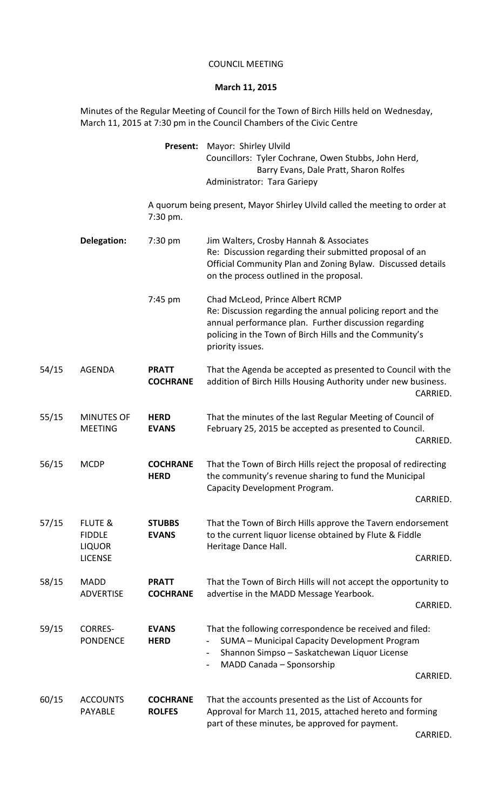## COUNCIL MEETING

## **March 11, 2015**

Minutes of the Regular Meeting of Council for the Town of Birch Hills held on Wednesday, March 11, 2015 at 7:30 pm in the Council Chambers of the Civic Centre

|       |                                                                        | Present:                         | Mayor: Shirley Ulvild<br>Councillors: Tyler Cochrane, Owen Stubbs, John Herd,<br>Barry Evans, Dale Pratt, Sharon Rolfes<br>Administrator: Tara Gariepy                                                                                                         |
|-------|------------------------------------------------------------------------|----------------------------------|----------------------------------------------------------------------------------------------------------------------------------------------------------------------------------------------------------------------------------------------------------------|
|       |                                                                        | 7:30 pm.                         | A quorum being present, Mayor Shirley Ulvild called the meeting to order at                                                                                                                                                                                    |
|       | Delegation:                                                            | 7:30 pm                          | Jim Walters, Crosby Hannah & Associates<br>Re: Discussion regarding their submitted proposal of an<br>Official Community Plan and Zoning Bylaw. Discussed details<br>on the process outlined in the proposal.                                                  |
|       |                                                                        | 7:45 pm                          | Chad McLeod, Prince Albert RCMP<br>Re: Discussion regarding the annual policing report and the<br>annual performance plan. Further discussion regarding<br>policing in the Town of Birch Hills and the Community's<br>priority issues.                         |
| 54/15 | <b>AGENDA</b>                                                          | <b>PRATT</b><br><b>COCHRANE</b>  | That the Agenda be accepted as presented to Council with the<br>addition of Birch Hills Housing Authority under new business.<br>CARRIED.                                                                                                                      |
| 55/15 | <b>MINUTES OF</b><br><b>MEETING</b>                                    | <b>HERD</b><br><b>EVANS</b>      | That the minutes of the last Regular Meeting of Council of<br>February 25, 2015 be accepted as presented to Council.<br>CARRIED.                                                                                                                               |
| 56/15 | <b>MCDP</b>                                                            | <b>COCHRANE</b><br><b>HERD</b>   | That the Town of Birch Hills reject the proposal of redirecting<br>the community's revenue sharing to fund the Municipal<br>Capacity Development Program.<br>CARRIED.                                                                                          |
| 57/15 | <b>FLUTE &amp;</b><br><b>FIDDLE</b><br><b>LIQUOR</b><br><b>LICENSE</b> | <b>STUBBS</b><br><b>EVANS</b>    | That the Town of Birch Hills approve the Tavern endorsement<br>to the current liquor license obtained by Flute & Fiddle<br>Heritage Dance Hall.<br>CARRIED.                                                                                                    |
| 58/15 | <b>MADD</b><br><b>ADVERTISE</b>                                        | <b>PRATT</b><br><b>COCHRANE</b>  | That the Town of Birch Hills will not accept the opportunity to<br>advertise in the MADD Message Yearbook.<br>CARRIED.                                                                                                                                         |
| 59/15 | <b>CORRES-</b><br><b>PONDENCE</b>                                      | <b>EVANS</b><br><b>HERD</b>      | That the following correspondence be received and filed:<br>SUMA - Municipal Capacity Development Program<br>$\overline{\phantom{a}}$<br>Shannon Simpso - Saskatchewan Liquor License<br>MADD Canada - Sponsorship<br>$\qquad \qquad \blacksquare$<br>CARRIED. |
| 60/15 | <b>ACCOUNTS</b><br><b>PAYABLE</b>                                      | <b>COCHRANE</b><br><b>ROLFES</b> | That the accounts presented as the List of Accounts for<br>Approval for March 11, 2015, attached hereto and forming<br>part of these minutes, be approved for payment.                                                                                         |
|       |                                                                        |                                  |                                                                                                                                                                                                                                                                |

CARRIED.